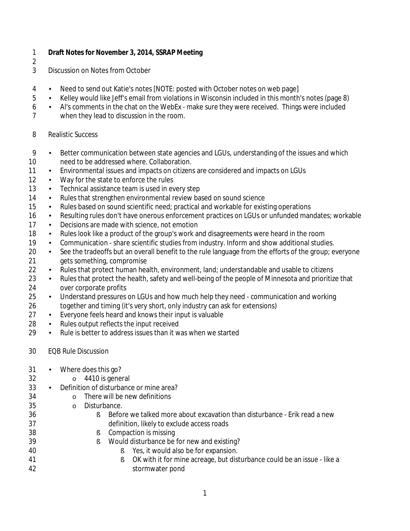- **Draft Notes for November 3, 2014, SSRAP Meeting**
- 
- Discussion on Notes from October
- Need to send out Katie's notes [NOTE: posted with October notes on web page]
- **Kelley would like Jeff's email from violations in Wisconsin included in this month's notes (page 8)**
- **Alt**'s comments in the chat on the WebEx make sure they were received. Things were included
- when they lead to discussion in the room.
- Realistic Success
- 9 Better communication between state agencies and LGUs, understanding of the issues and which need to be addressed where. Collaboration.
- **Environmental issues and impacts on citizens are considered and impacts on LGUs**
- 12 Way for the state to enforce the rules
- 13 Fechnical assistance team is used in every step
- **Rules that strengthen environmental review based on sound science**
- 15 Rules based on sound scientific need; practical and workable for existing operations
- 16 Resulting rules don't have onerous enforcement practices on LGUs or unfunded mandates; workable
- 17 Decisions are made with science, not emotion
- 18 Hotal Rules look like a product of the group's work and disagreements were heard in the room
- 19 Communication share scientific studies from industry. Inform and show additional studies.
- 20 See the tradeoffs but an overall benefit to the rule language from the efforts of the group; everyone gets something, compromise
- 22 Rules that protect human health, environment, land; understandable and usable to citizens
- 23 Rules that protect the health, safety and well-being of the people of Minnesota and prioritize that over corporate profits
- Understand pressures on LGUs and how much help they need communication and working together and timing (it's very short, only industry can ask for extensions)
- Everyone feels heard and knows their input is valuable
- 28 Rules output reflects the input received
- 29 Rule is better to address issues than it was when we started
- EQB Rule Discussion
- Where does this go?
- 32 o 4410 is general<br>33 Definition of disturbance
- Definition of disturbance or mine area?
- $34 \qquad \qquad \circ \qquad$  There will be new definitions  $35 \qquad \qquad \circ \qquad$  Disturbance.
	- o Disturbance.
- § Before we talked more about excavation than disturbance Erik read a new definition, likely to exclude access roads
- § Compaction is missing
- § Would disturbance be for new and existing?
- § Yes, it would also be for expansion.
- § OK with it for mine acreage, but disturbance could be an issue like a stormwater pond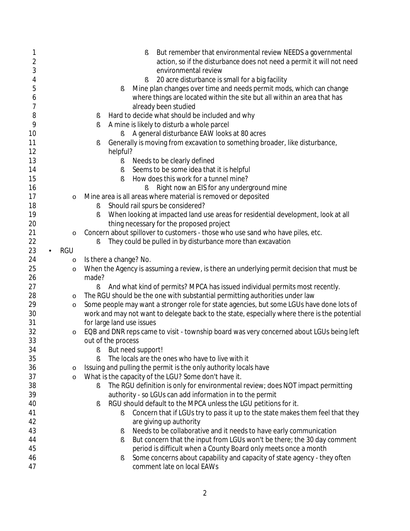| 1              |            | But remember that environmental review NEEDS a governmental<br>ş                             |
|----------------|------------|----------------------------------------------------------------------------------------------|
| $\overline{2}$ |            | action, so if the disturbance does not need a permit it will not need                        |
| 3              |            | environmental review                                                                         |
| 4              |            | 20 acre disturbance is small for a big facility<br>ş                                         |
| 5              |            | Mine plan changes over time and needs permit mods, which can change<br>ş                     |
| 6              |            | where things are located within the site but all within an area that has                     |
| 7              |            | already been studied                                                                         |
| 8              |            | Hard to decide what should be included and why                                               |
| 9              |            | ş                                                                                            |
|                |            | A mine is likely to disturb a whole parcel<br>ş                                              |
| 10             |            | A general disturbance EAW looks at 80 acres<br>ş                                             |
| 11<br>12       |            | Generally is moving from excavation to something broader, like disturbance,<br>ş<br>helpful? |
| 13             |            | Needs to be clearly defined<br>ş                                                             |
| 14             |            | Seems to be some idea that it is helpful<br>ş                                                |
| 15             |            | How does this work for a tunnel mine?<br>f                                                   |
| 16             |            | Right now an EIS for any underground mine<br>ş                                               |
| 17             | $\circ$    | Mine area is all areas where material is removed or deposited                                |
| 18             |            | Should rail spurs be considered?<br>ş                                                        |
| 19             |            | When looking at impacted land use areas for residential development, look at all<br>ş        |
| 20             |            | thing necessary for the proposed project                                                     |
| 21             | $\circ$    | Concern about spillover to customers - those who use sand who have piles, etc.               |
| 22             |            | They could be pulled in by disturbance more than excavation<br>ş                             |
| 23             | <b>RGU</b> |                                                                                              |
| 24             | $\circ$    | Is there a change? No.                                                                       |
| 25             | $\circ$    | When the Agency is assuming a review, is there an underlying permit decision that must be    |
| 26             |            | made?                                                                                        |
| 27             |            | And what kind of permits? MPCA has issued individual permits most recently.<br>ş             |
| 28             | $\circ$    | The RGU should be the one with substantial permitting authorities under law                  |
| 29             |            | Some people may want a stronger role for state agencies, but some LGUs have done lots of     |
| 30             | $\circ$    | work and may not want to delegate back to the state, especially where there is the potential |
| 31             |            | for large land use issues                                                                    |
| 32             |            | EQB and DNR reps came to visit - township board was very concerned about LGUs being left     |
| 33             | $\circ$    | out of the process                                                                           |
| 34             |            | But need support!                                                                            |
| 35             |            | ş<br>The locals are the ones who have to live with it                                        |
|                |            |                                                                                              |
| 36             | $\circ$    | Issuing and pulling the permit is the only authority locals have                             |
| 37             | $\circ$    | What is the capacity of the LGU? Some don't have it.                                         |
| 38             |            | The RGU definition is only for environmental review; does NOT impact permitting<br>S         |
| 39             |            | authority - so LGUs can add information in to the permit                                     |
| 40             |            | RGU should default to the MPCA unless the LGU petitions for it.<br>ş                         |
| 41             |            | Concern that if LGUs try to pass it up to the state makes them feel that they<br>ş           |
| 42             |            | are giving up authority                                                                      |
| 43             |            | Needs to be collaborative and it needs to have early communication<br>ş                      |
| 44             |            | But concern that the input from LGUs won't be there; the 30 day comment<br>ş                 |
| 45             |            | period is difficult when a County Board only meets once a month                              |
| 46             |            | Some concerns about capability and capacity of state agency - they often<br>ş                |
| 47             |            | comment late on local EAWs                                                                   |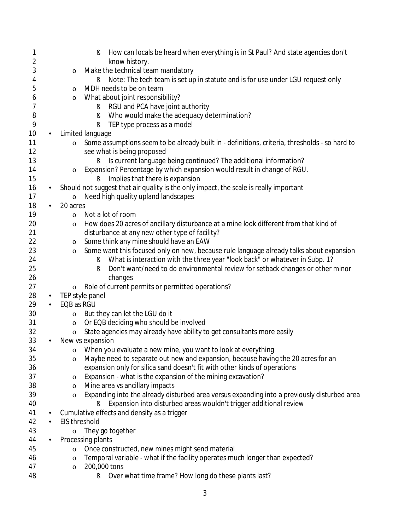| 1                       |                | How can locals be heard when everything is in St Paul? And state agencies don't<br>ş                           |
|-------------------------|----------------|----------------------------------------------------------------------------------------------------------------|
| $\overline{\mathbf{c}}$ |                | know history.                                                                                                  |
| 3                       |                | Make the technical team mandatory<br>$\circ$                                                                   |
| 4<br>5                  |                | Note: The tech team is set up in statute and is for use under LGU request only<br>ş<br>MDH needs to be on team |
|                         |                | $\circ$<br>What about joint responsibility?                                                                    |
| 6<br>7                  |                | $\circ$<br>RGU and PCA have joint authority<br>ş                                                               |
| 8                       |                | Who would make the adequacy determination?<br>ş                                                                |
| 9                       |                | TEP type process as a model<br>ş                                                                               |
| 10                      |                | Limited language                                                                                               |
| 11                      |                | Some assumptions seem to be already built in - definitions, criteria, thresholds - so hard to<br>$\circ$       |
| 12                      |                | see what is being proposed                                                                                     |
| 13                      |                | Is current language being continued? The additional information?<br>ş                                          |
| 14                      |                | Expansion? Percentage by which expansion would result in change of RGU.<br>$\circ$                             |
| 15                      |                | Implies that there is expansion<br>Ş                                                                           |
| 16                      | ٠              | Should not suggest that air quality is the only impact, the scale is really important                          |
| 17                      |                | Need high quality upland landscapes<br>$\circ$                                                                 |
| 18                      | $\blacksquare$ | 20 acres                                                                                                       |
| 19                      |                | Not a lot of room<br>$\circ$                                                                                   |
| 20                      |                | How does 20 acres of ancillary disturbance at a mine look different from that kind of<br>$\circ$               |
| 21                      |                | disturbance at any new other type of facility?                                                                 |
| 22                      |                | Some think any mine should have an EAW<br>$\circ$                                                              |
| 23                      |                | Some want this focused only on new, because rule language already talks about expansion<br>$\circ$             |
| 24                      |                | What is interaction with the three year "look back" or whatever in Subp. 1?<br>ş                               |
| 25                      |                | Don't want/need to do environmental review for setback changes or other minor<br>ş                             |
| 26                      |                | changes                                                                                                        |
| 27                      |                | Role of current permits or permitted operations?<br>$\circ$                                                    |
| 28                      | ×,             | TEP style panel                                                                                                |
| 29                      |                | EQB as RGU                                                                                                     |
| 30                      |                | But they can let the LGU do it<br>$\circ$                                                                      |
| 31                      |                | Or EQB deciding who should be involved<br>$\circ$                                                              |
| 32                      |                | State agencies may already have ability to get consultants more easily<br>$\circ$                              |
| 33                      | $\blacksquare$ | New vs expansion                                                                                               |
| 34                      |                | When you evaluate a new mine, you want to look at everything<br>O                                              |
| 35                      |                | Maybe need to separate out new and expansion, because having the 20 acres for an<br>$\circ$                    |
| 36                      |                | expansion only for silica sand doesn't fit with other kinds of operations                                      |
| 37                      |                | Expansion - what is the expansion of the mining excavation?<br>$\circ$                                         |
| 38                      |                | Mine area vs ancillary impacts<br>$\circ$                                                                      |
| 39                      |                | Expanding into the already disturbed area versus expanding into a previously disturbed area<br>$\circ$         |
| 40                      |                | Expansion into disturbed areas wouldn't trigger additional review<br>Ş                                         |
| 41                      | ٠              | Cumulative effects and density as a trigger                                                                    |
| 42                      |                | <b>EIS threshold</b>                                                                                           |
| 43                      |                | They go together<br>$\circ$                                                                                    |
| 44                      |                | Processing plants                                                                                              |
| 45                      |                | Once constructed, new mines might send material<br>$\circ$                                                     |
| 46                      |                | Temporal variable - what if the facility operates much longer than expected?<br>$\circ$                        |
| 47                      |                | 200,000 tons<br>$\circ$                                                                                        |
| 48                      |                | Over what time frame? How long do these plants last?<br>ş                                                      |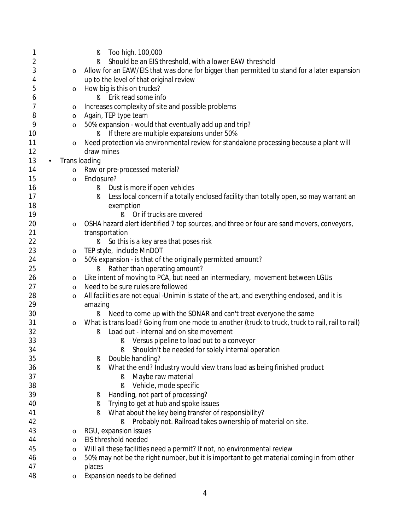| 1        |                     | Too high. 100,000<br>ş                                                                           |
|----------|---------------------|--------------------------------------------------------------------------------------------------|
| 2        |                     | Should be an EIS threshold, with a lower EAW threshold<br>Ş                                      |
| 3        | $\circ$             | Allow for an EAW/EIS that was done for bigger than permitted to stand for a later expansion      |
| 4        |                     | up to the level of that original review                                                          |
| 5        | $\circ$             | How big is this on trucks?                                                                       |
| 6        |                     | Erik read some info<br>ε                                                                         |
| 7        | $\circ$             | Increases complexity of site and possible problems                                               |
| 8        | $\circ$             | Again, TEP type team                                                                             |
| 9        | $\circ$             | 50% expansion - would that eventually add up and trip?                                           |
| 10       |                     | If there are multiple expansions under 50%                                                       |
| 11       | $\circ$             | Need protection via environmental review for standalone processing because a plant will          |
| 12       |                     | draw mines                                                                                       |
| 13       | Trans loading<br>×, |                                                                                                  |
| 14       | $\circ$             | Raw or pre-processed material?                                                                   |
| 15       | $\circ$             | Enclosure?                                                                                       |
| 16       |                     | Dust is more if open vehicles<br>ş                                                               |
| 17       |                     | Less local concern if a totally enclosed facility than totally open, so may warrant an<br>ş      |
| 18       |                     | exemption                                                                                        |
| 19       |                     | Or if trucks are covered                                                                         |
| 20       | $\circ$             | OSHA hazard alert identified 7 top sources, and three or four are sand movers, conveyors,        |
| 21       |                     | transportation                                                                                   |
| 22       |                     | So this is a key area that poses risk<br>Ş                                                       |
| 23       | $\circ$             | TEP style, include MnDOT                                                                         |
| 24       | $\circ$             | 50% expansion - is that of the originally permitted amount?                                      |
| 25       |                     | Rather than operating amount?<br>S                                                               |
| 26       | O                   | Like intent of moving to PCA, but need an intermediary, movement between LGUs                    |
| 27       | $\circ$             | Need to be sure rules are followed                                                               |
| 28       | $\circ$             | All facilities are not equal - Unimin is state of the art, and everything enclosed, and it is    |
| 29       |                     | amazing                                                                                          |
| 30       |                     | Need to come up with the SONAR and can't treat everyone the same                                 |
| 31       | $\circ$             | What is trans load? Going from one mode to another (truck to truck, truck to rail, rail to rail) |
| 32<br>33 |                     | Load out - internal and on site movement<br>ş                                                    |
| 34       |                     | Versus pipeline to load out to a conveyor<br>ş                                                   |
| 35       |                     | Shouldn't be needed for solely internal operation<br>Double handling?                            |
| 36       |                     | ş<br>What the end? Industry would view trans load as being finished product                      |
| 37       |                     | ş<br>Maybe raw material<br>ş                                                                     |
| 38       |                     | Vehicle, mode specific<br>ş                                                                      |
| 39       |                     | Handling, not part of processing?<br>s                                                           |
| 40       |                     | Trying to get at hub and spoke issues<br>ş                                                       |
| 41       |                     | What about the key being transfer of responsibility?<br>Ş                                        |
| 42       |                     | Probably not. Railroad takes ownership of material on site.<br>ş                                 |
| 43       | $\circ$             | RGU, expansion issues                                                                            |
| 44       | $\circ$             | EIS threshold needed                                                                             |
| 45       | $\circ$             | Will all these facilities need a permit? If not, no environmental review                         |
| 46       | $\circ$             | 50% may not be the right number, but it is important to get material coming in from other        |
| 47       |                     | places                                                                                           |
| 48       | $\circ$             | Expansion needs to be defined                                                                    |
|          |                     |                                                                                                  |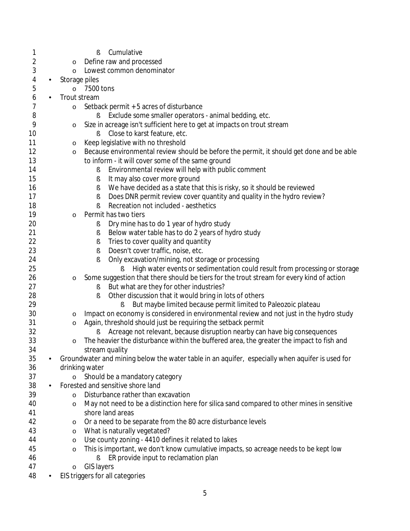| 1                    |                                      | Cumulative<br>Ş                                                                                 |  |
|----------------------|--------------------------------------|-------------------------------------------------------------------------------------------------|--|
| 2                    | $\circ$                              | Define raw and processed                                                                        |  |
| 3                    | Lowest common denominator<br>$\circ$ |                                                                                                 |  |
| 4<br>×,              | Storage piles                        |                                                                                                 |  |
| 5                    | 7500 tons<br>$\circ$                 |                                                                                                 |  |
| 6                    | Trout stream                         |                                                                                                 |  |
| 7                    | $\circ$                              | Setback permit + 5 acres of disturbance                                                         |  |
| 8                    |                                      | Exclude some smaller operators - animal bedding, etc.<br>ş                                      |  |
| 9                    | $\circ$                              | Size in acreage isn't sufficient here to get at impacts on trout stream                         |  |
| 10                   |                                      | Close to karst feature, etc.                                                                    |  |
| 11                   | $\circ$                              | Keep legislative with no threshold                                                              |  |
| 12                   | $\circ$                              | Because environmental review should be before the permit, it should get done and be able        |  |
| 13                   |                                      | to inform - it will cover some of the same ground                                               |  |
| 14                   |                                      | Environmental review will help with public comment<br>ş                                         |  |
| 15                   |                                      | It may also cover more ground<br>ş                                                              |  |
| 16                   |                                      | We have decided as a state that this is risky, so it should be reviewed<br>ş                    |  |
| 17                   |                                      | Does DNR permit review cover quantity and quality in the hydro review?<br>ş                     |  |
| 18                   |                                      | Recreation not included - aesthetics<br>ş                                                       |  |
| 19                   | $\circ$                              | Permit has two tiers                                                                            |  |
| 20                   |                                      | Dry mine has to do 1 year of hydro study                                                        |  |
| 21                   |                                      | ş<br>Below water table has to do 2 years of hydro study                                         |  |
| 22                   |                                      | ş                                                                                               |  |
|                      |                                      | Tries to cover quality and quantity<br>ş                                                        |  |
| 23                   |                                      | Doesn't cover traffic, noise, etc.<br>ş                                                         |  |
| 24                   |                                      | Only excavation/mining, not storage or processing<br>ş                                          |  |
| 25                   |                                      | High water events or sedimentation could result from processing or storage<br>ş                 |  |
| 26                   | $\circ$                              | Some suggestion that there should be tiers for the trout stream for every kind of action        |  |
| 27                   |                                      | But what are they for other industries?<br>ş                                                    |  |
| 28                   |                                      | Other discussion that it would bring in lots of others<br>ş                                     |  |
| 29                   |                                      | But maybe limited because permit limited to Paleozoic plateau<br>ş                              |  |
| 30                   | $\circ$                              | Impact on economy is considered in environmental review and not just in the hydro study         |  |
| 31                   | $\circ$                              | Again, threshold should just be requiring the setback permit                                    |  |
| 32                   |                                      | Acreage not relevant, because disruption nearby can have big consequences                       |  |
| 33                   | $\circ$                              | The heavier the disturbance within the buffered area, the greater the impact to fish and        |  |
| 34                   |                                      | stream quality                                                                                  |  |
| 35                   |                                      | Groundwater and mining below the water table in an aquifer, especially when aquifer is used for |  |
| 36                   |                                      | drinking water                                                                                  |  |
| 37                   | $\circ$                              | Should be a mandatory category                                                                  |  |
| 38<br>$\blacksquare$ |                                      | Forested and sensitive shore land                                                               |  |
| 39                   | $\circ$                              | Disturbance rather than excavation                                                              |  |
| 40                   | $\circ$                              | May not need to be a distinction here for silica sand compared to other mines in sensitive      |  |
| 41                   |                                      | shore land areas                                                                                |  |
| 42                   | $\circ$                              | Or a need to be separate from the 80 acre disturbance levels                                    |  |
| 43                   | $\circ$                              | What is naturally vegetated?                                                                    |  |
| 44                   | $\circ$                              | Use county zoning - 4410 defines it related to lakes                                            |  |
| 45                   | $\circ$                              | This is important, we don't know cumulative impacts, so acreage needs to be kept low            |  |
| 46                   |                                      | ER provide input to reclamation plan<br>Ş                                                       |  |
| 47                   | $\circ$                              | <b>GIS layers</b>                                                                               |  |
| 48                   |                                      | EIS triggers for all categories                                                                 |  |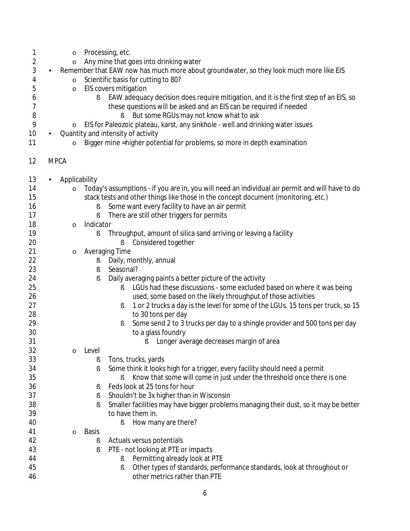| 1              | $\circ$                 | Processing, etc.                                                                                |
|----------------|-------------------------|-------------------------------------------------------------------------------------------------|
| $\overline{c}$ | $\circ$                 | Any mine that goes into drinking water                                                          |
| 3              |                         | Remember that EAW now has much more about groundwater, so they look much more like EIS          |
| 4              | $\circ$                 | Scientific basis for cutting to 80?                                                             |
| 5              | $\circ$                 | EIS covers mitigation                                                                           |
| 6              | ş                       | EAW adequacy decision does require mitigation, and it is the first step of an EIS, so           |
| 7              |                         | these questions will be asked and an EIS can be required if needed                              |
| 8              |                         | But some RGUs may not know what to ask<br>ş                                                     |
| 9              | $\circ$                 | EIS for Paleozoic plateau, karst, any sinkhole - well and drinking water issues                 |
| 10             |                         | Quantity and intensity of activity                                                              |
|                |                         |                                                                                                 |
| 11             | $\circ$                 | Bigger mine = higher potential for problems, so more in depth examination                       |
| 12             | <b>MPCA</b>             |                                                                                                 |
| 13             | Applicability           |                                                                                                 |
| 14             | $\circ$                 | Today's assumptions - if you are in, you will need an individual air permit and will have to do |
| 15             |                         | stack tests and other things like those in the concept document (monitoring, etc.)              |
| 16             |                         | Some want every facility to have an air permit                                                  |
| 17             | ş                       | There are still other triggers for permits                                                      |
| 18             | Indicator<br>$\circ$    |                                                                                                 |
| 19             | ş                       | Throughput, amount of silica sand arriving or leaving a facility                                |
| 20             |                         | Considered together<br>ş                                                                        |
| 21             | $\circ$                 | <b>Averaging Time</b>                                                                           |
| 22             | ş                       | Daily, monthly, annual                                                                          |
| 23             | ş                       | Seasonal?                                                                                       |
| 24             | ş                       | Daily averaging paints a better picture of the activity                                         |
| 25             |                         | LGUs had these discussions - some excluded based on where it was being<br>ş                     |
| 26             |                         | used, some based on the likely throughput of those activities                                   |
| 27             |                         | 1 or 2 trucks a day is the level for some of the LGUs. 15 tons per truck, so 15<br>ş            |
| 28             |                         | to 30 tons per day                                                                              |
| 29             |                         | Some send 2 to 3 trucks per day to a shingle provider and 500 tons per day<br>ş                 |
| 30             |                         | to a glass foundry                                                                              |
| 31             |                         | Longer average decreases margin of area<br>ş.                                                   |
| 32             | o Level                 |                                                                                                 |
| 33             | ş                       | Tons, trucks, yards                                                                             |
| 34             | ş                       | Some think it looks high for a trigger, every facility should need a permit                     |
| 35             |                         | Know that some will come in just under the threshold once there is one<br>ş                     |
| 36             |                         | Feds look at 25 tons for hour                                                                   |
| 37             | ş                       | Shouldn't be 3x higher than in Wisconsin                                                        |
| 38             | ş                       |                                                                                                 |
|                | ş                       | Smaller facilities may have bigger problems managing their dust, so it may be better            |
| 39             |                         | to have them in.                                                                                |
| 40             |                         | How many are there?<br>ş                                                                        |
| 41             | <b>Basis</b><br>$\circ$ |                                                                                                 |
| 42             | ş                       | Actuals versus potentials                                                                       |
| 43             | ş                       | PTE - not looking at PTE or impacts                                                             |
| 44             |                         | Permitting already look at PTE<br>ş                                                             |
| 45             |                         | Other types of standards, performance standards, look at throughout or<br>ş                     |
| 46             |                         | other metrics rather than PTE                                                                   |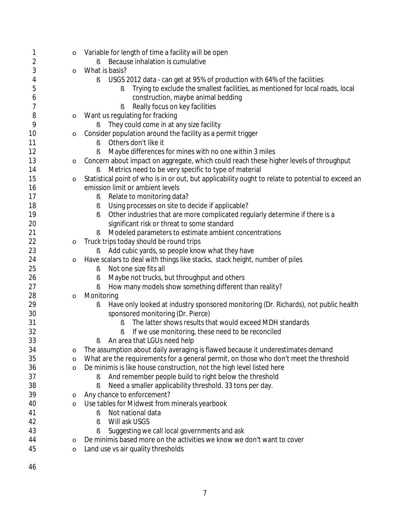| 1  | $\circ$      | Variable for length of time a facility will be open                                                |
|----|--------------|----------------------------------------------------------------------------------------------------|
| 2  |              | Because inhalation is cumulative<br>Ş                                                              |
| 3  | $\circ$      | What is basis?                                                                                     |
| 4  |              | USGS 2012 data - can get at 95% of production with 64% of the facilities<br>ş                      |
| 5  |              | Trying to exclude the smallest facilities, as mentioned for local roads, local<br>ş                |
| 6  |              | construction, maybe animal bedding                                                                 |
| 7  |              | Really focus on key facilities                                                                     |
| 8  | $\circ$      | Want us regulating for fracking                                                                    |
| 9  |              | They could come in at any size facility<br>ş                                                       |
| 10 | $\circ$      | Consider population around the facility as a permit trigger                                        |
| 11 |              | Others don't like it<br>Ş                                                                          |
| 12 |              | Maybe differences for mines with no one within 3 miles<br>ş                                        |
| 13 | $\circ$      | Concern about impact on aggregate, which could reach these higher levels of throughput             |
| 14 |              | Metrics need to be very specific to type of material<br>ş                                          |
| 15 | $\circ$      | Statistical point of who is in or out, but applicability ought to relate to potential to exceed an |
| 16 |              | emission limit or ambient levels                                                                   |
| 17 |              | Relate to monitoring data?<br>ş                                                                    |
| 18 |              | Using processes on site to decide if applicable?<br>ş                                              |
| 19 |              | Other industries that are more complicated regularly determine if there is a<br>ş                  |
| 20 |              | significant risk or threat to some standard                                                        |
| 21 |              | Modeled parameters to estimate ambient concentrations<br>ş                                         |
| 22 | $\circ$      | Truck trips today should be round trips                                                            |
| 23 |              | Add cubic yards, so people know what they have<br>ş                                                |
| 24 | $\circ$      | Have scalars to deal with things like stacks, stack height, number of piles                        |
| 25 |              | Not one size fits all<br>ş                                                                         |
| 26 |              | Maybe not trucks, but throughput and others<br>ş                                                   |
| 27 |              | How many models show something different than reality?                                             |
| 28 | $\circ$      | Monitoring                                                                                         |
| 29 |              | Have only looked at industry sponsored monitoring (Dr. Richards), not public health<br>ş           |
| 30 |              | sponsored monitoring (Dr. Pierce)                                                                  |
| 31 |              | The latter shows results that would exceed MDH standards<br>ş                                      |
| 32 |              | If we use monitoring, these need to be reconciled                                                  |
| 33 |              | An area that LGUs need help<br>ş                                                                   |
| 34 |              | The assumption about daily averaging is flawed because it underestimates demand                    |
| 35 | O<br>$\circ$ | What are the requirements for a general permit, on those who don't meet the threshold              |
| 36 |              | De minimis is like house construction, not the high level listed here                              |
| 37 | $\circ$      | And remember people build to right below the threshold                                             |
| 38 |              | Need a smaller applicability threshold. 33 tons per day.<br>ş                                      |
| 39 |              | Any chance to enforcement?                                                                         |
| 40 | $\circ$      | Use tables for Midwest from minerals yearbook                                                      |
|    | $\circ$      | Not national data                                                                                  |
| 41 |              | ş<br>Will ask USGS                                                                                 |
| 42 |              | Ş                                                                                                  |
| 43 |              | Suggesting we call local governments and ask                                                       |
| 44 | $\circ$      | De minimis based more on the activities we know we don't want to cover                             |
| 45 | $\circ$      | Land use vs air quality thresholds                                                                 |
|    |              |                                                                                                    |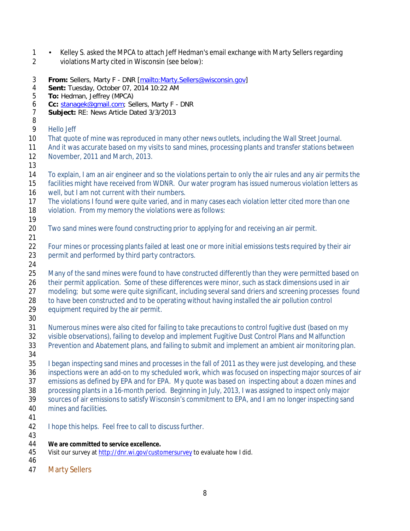- 1 Relley S. asked the MPCA to attach Jeff Hedman's email exchange with Marty Sellers regarding
- violations Marty cited in Wisconsin (see below):
- **From:** Sellers, Marty F DNR [\[mailto:Marty.Sellers@wisconsin.gov\]](mailto:Marty.Sellers@wisconsin.gov)
- 4 **Sent:** Tuesday, October 07, 2014 10:22 AM<br>5 **To:** Hedman, Jeffrey (MPCA)
- **To:** Hedman, Jeffrey (MPCA)
- 6 **Cc:** [stanagek@gmail.com;](mailto:stanagek@gmail.com) Sellers, Marty F DNR<br>7 **Subiect:** RE: News Article Dated 3/3/2013
- Subject: RE: News Article Dated 3/3/2013
- Hello Jeff
- That quote of mine was reproduced in many other news outlets, including the Wall Street Journal.
- 11 And it was accurate based on my visits to sand mines, processing plants and transfer stations between November, 2011 and March, 2013.
- 
- To explain, I am an air engineer and so the violations pertain to only the air rules and any air permits the
- facilities might have received from WDNR. Our water program has issued numerous violation letters as
- 16 well, but I am not current with their numbers.
- The violations I found were quite varied, and in many cases each violation letter cited more than one
- violation. From my memory the violations were as follows:
- Two sand mines were found constructing prior to applying for and receiving an air permit.
- 

- Four mines or processing plants failed at least one or more initial emissions tests required by their air 23 permit and performed by third party contractors.
- 

25 Many of the sand mines were found to have constructed differently than they were permitted based on their permit application. Some of these differences were minor, such as stack dimensions used in air 27 modeling; but some were quite significant, including several sand driers and screening processes found

28 to have been constructed and to be operating without having installed the air pollution control

- equipment required by the air permit.
- 

Numerous mines were also cited for failing to take precautions to control fugitive dust (based on my

- visible observations), failing to develop and implement Fugitive Dust Control Plans and Malfunction
- Prevention and Abatement plans, and failing to submit and implement an ambient air monitoring plan.
- 

 I began inspecting sand mines and processes in the fall of 2011 as they were just developing, and these inspections were an add-on to my scheduled work, which was focused on inspecting major sources of air emissions as defined by EPA and for EPA. My quote was based on inspecting about a dozen mines and processing plants in a 16-month period. Beginning in July, 2013, I was assigned to inspect only major sources of air emissions to satisfy Wisconsin's commitment to EPA, and I am no longer inspecting sand mines and facilities.

- 
- I hope this helps. Feel free to call to discuss further.
- 
- **We are committed to service excellence.**
- Visit our survey a[t http://dnr.wi.gov/customersurvey](http://dnr.wi.gov/customersurvey) to evaluate how I did.
- 
- Marty Sellers